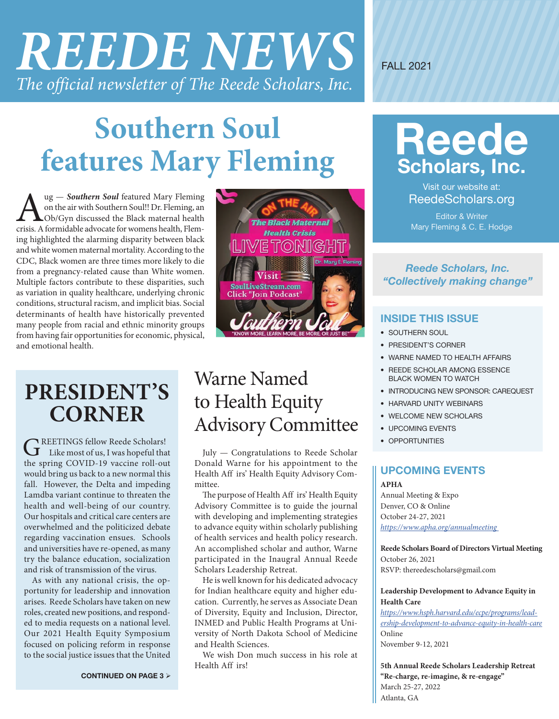# *REEDE NEWS The official newsletter of The Reede Scholars, Inc.*

FALL 2021

## **Southern Soul features Mary Fleming Reede**<br>**features Mary Fleming Scholars, Inc.**

**Aug —** *Southern Soul* featured Mary Fleming on the air with Southern Soul!! Dr. Fleming, an Ob/Gyn discussed the Black maternal health crisis. A formidable advocate for womens health, Flemon the air with Southern Soul!! Dr. Fleming, an Ob/Gyn discussed the Black maternal health ing highlighted the alarming disparity between black and white women maternal mortality. According to the CDC, Black women are three times more likely to die from a pregnancy-related cause than White women. Multiple factors contribute to these disparities, such as variation in quality healthcare, underlying chronic conditions, structural racism, and implicit bias. Social determinants of health have historically prevented many people from racial and ethnic minority groups from having fair opportunities for economic, physical, and emotional health.

### he Black Maternal **Health Crisis** E TONIGI Visit **SoulLiveStream.com Click "Join Podcast**

### **PRESIDENT'S CORNER**

GREETINGS fellow Reede Scholars!<br>Like most of us, I was hopeful that the spring COVID-19 vaccine roll-out would bring us back to a new normal this fall. However, the Delta and impeding Lamdba variant continue to threaten the health and well-being of our country. Our hospitals and critical care centers are overwhelmed and the politicized debate regarding vaccination ensues. Schools and universities have re-opened, as many try the balance education, socialization and risk of transmission of the virus.

As with any national crisis, the opportunity for leadership and innovation arises. Reede Scholars have taken on new roles, created new positions, and responded to media requests on a national level. Our 2021 Health Equity Symposium focused on policing reform in response to the social justice issues that the United

### Warne Named to Health Equity Advisory Committee

July — Congratulations to Reede Scholar Donald Warne for his appointment to the Health Aff irs' Health Equity Advisory Committee.

The purpose of Health Aff irs' Health Equity Advisory Committee is to guide the journal with developing and implementing strategies to advance equity within scholarly publishing of health services and health policy research. An accomplished scholar and author, Warne participated in the Inaugral Annual Reede Scholars Leadership Retreat.

He is well known for his dedicated advocacy for Indian healthcare equity and higher education. Currently, he serves as Associate Dean of Diversity, Equity and Inclusion, Director, INMED and Public Health Programs at University of North Dakota School of Medicine and Health Sciences.

We wish Don much success in his role at Health Aff irs!



Visit our website at: ReedeScholars.org

Editor & Writer Mary Fleming & C. E. Hodge

#### *Reede Scholars, Inc. "Collectively making change"*

#### **INSIDE THIS ISSUE**

- SOUTHERN SOUL
- PRESIDENT'S CORNER
- WARNE NAMED TO HEALTH AFFAIRS
- REEDE SCHOLAR AMONG ESSENCE BLACK WOMEN TO WATCH
- INTRODUCING NEW SPONSOR: CAREQUEST
- HARVARD UNITY WEBINARS
- WELCOME NEW SCHOLARS
- UPCOMING EVENTS
- OPPORTUNITIES

### **UPCOMING EVENTS**

**APHA**  Annual Meeting & Expo Denver, CO & Online October 24-27, 2021 *[https://www.apha.org/annualmeeting](https://www.apha.org/annualmeeting  )* 

**Reede Scholars Board of Directors Virtual Meeting**  October 26, 2021 RSVP: thereedescholars@gmail.com

**Leadership Development to Advance Equity in Health Care**

*[https://www.hsph.harvard.edu/ecpe/programs/lead](https://www.hsph.harvard.edu/ecpe/programs/leadership-development-to-advance-equity-in-health-care)[ership-development-to-advance-equity-in-health-care](https://www.hsph.harvard.edu/ecpe/programs/leadership-development-to-advance-equity-in-health-care)* Online November 9-12, 2021

**5th Annual Reede Scholars Leadership Retreat "Re-charge, re-imagine, & re-engage"** March 25-27, 2022 Atlanta, GA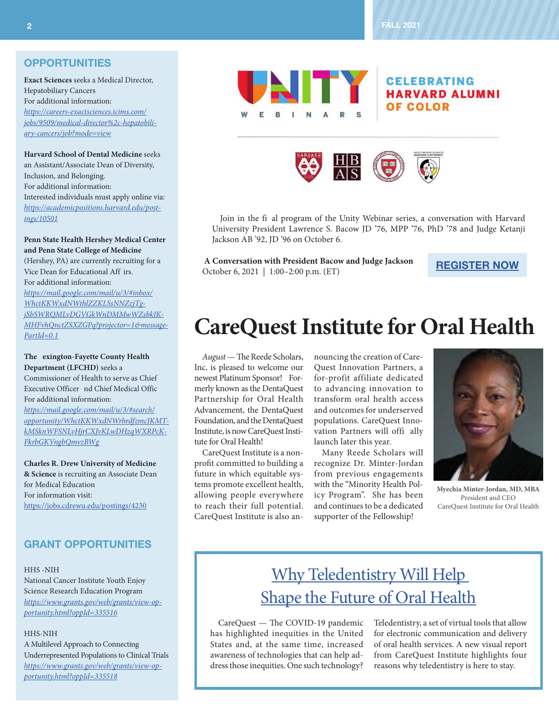#### **OPPORTUNITIES**

**Exact Sciences** seeks a Medical Director, Hepatobiliary Cancers For additional information: *[https://careers-exactsciences.icims.com/](https://careers-exactsciences.icims.com/jobs/9509/medical-director%2c-hepatobiliary-cancers/job?mode=view ) [jobs/9509/medical-director%2c-hepatobili](https://careers-exactsciences.icims.com/jobs/9509/medical-director%2c-hepatobiliary-cancers/job?mode=view )[ary-cancers/job?mode=view](https://careers-exactsciences.icims.com/jobs/9509/medical-director%2c-hepatobiliary-cancers/job?mode=view )*

**Harvard School of Dental Medicine** seeks an Assistant/Associate Dean of Diversity, Inclusion, and Belonging. For additional information: Interested individuals must apply online via: *[https://academicpositions.harvard.edu/post](https://academicpositions.harvard.edu/postings/10501 )[ings/10501](https://academicpositions.harvard.edu/postings/10501 )*

**Penn State Health Hershey Medical Center and Penn State College of Medicine**  (Hershey, PA) are currently recruiting for a Vice Dean for Educational Aff irs. For additional information: *[https://mail.google.com/mail/u/3/#inbox/](https://mail.google.com/mail/u/3/#inbox/WhctKKWxdNWthlZZKLSsNNZzjTgjSbSWRQMLvDGVGkWnDMMwWZsbkJKMHFvhQnctZSXZGPq?projector=1&messagePartId=0.1 ) [WhctKKWxdNWthlZZKLSsNNZzjTg](https://mail.google.com/mail/u/3/#inbox/WhctKKWxdNWthlZZKLSsNNZzjTgjSbSWRQMLvDGVGkWnDMMwWZsbkJKMHFvhQnctZSXZGPq?projector=1&messagePartId=0.1 )[jSbSWRQMLvDGVGkWnDMMwWZsbkJK-](https://mail.google.com/mail/u/3/#inbox/WhctKKWxdNWthlZZKLSsNNZzjTgjSbSWRQMLvDGVGkWnDMMwWZsbkJKMHFvhQnctZSXZGPq?projector=1&messagePartId=0.1 )[MHFvhQnctZSXZGPq?projector=1&message-](https://mail.google.com/mail/u/3/#inbox/WhctKKWxdNWthlZZKLSsNNZzjTgjSbSWRQMLvDGVGkWnDMMwWZsbkJKMHFvhQnctZSXZGPq?projector=1&messagePartId=0.1 )[PartId=0.1](https://mail.google.com/mail/u/3/#inbox/WhctKKWxdNWthlZZKLSsNNZzjTgjSbSWRQMLvDGVGkWnDMMwWZsbkJKMHFvhQnctZSXZGPq?projector=1&messagePartId=0.1 )*

**The exington-Fayette County Health Department (LFCHD)** seeks a

Commissioner of Health to serve as Chief Executive Officer nd Chief Medical Offic For additional information: *[https://mail.google.com/mail/u/3/#search/](https://mail.google.com/mail/u/3/#search/opportunity/WhctKKWxdNWrhrdfzmcJKMTkMSknWFSNLvHjrCXJvKLwDHzqWXRPcKFkrbGKVngbQmvzBWg ) [opportunity/WhctKKWxdNWrhrdfzmcJKMT](https://mail.google.com/mail/u/3/#search/opportunity/WhctKKWxdNWrhrdfzmcJKMTkMSknWFSNLvHjrCXJvKLwDHzqWXRPcKFkrbGKVngbQmvzBWg )[kMSknWFSNLvHjrCXJvKLwDHzqWXRPcK-](https://mail.google.com/mail/u/3/#search/opportunity/WhctKKWxdNWrhrdfzmcJKMTkMSknWFSNLvHjrCXJvKLwDHzqWXRPcKFkrbGKVngbQmvzBWg )[FkrbGKVngbQmvzBWg](https://mail.google.com/mail/u/3/#search/opportunity/WhctKKWxdNWrhrdfzmcJKMTkMSknWFSNLvHjrCXJvKLwDHzqWXRPcKFkrbGKVngbQmvzBWg )*

**Charles R. Drew University of Medicine & Science** is recruiting an Associate Dean for Medical Education For information visit: <https://jobs.cdrewu.edu/postings/4230>

#### **GRANT OPPORTUNITIES**

HHS -NIH

National Cancer Institute Youth Enjoy Science Research Education Program *[https://www.grants.gov/web/grants/view-op](https://www.grants.gov/web/grants/view-opportunity.html?oppId=335516 )[portunity.html?oppId=335516](https://www.grants.gov/web/grants/view-opportunity.html?oppId=335516 )*

#### HHS-NIH

A Multilevel Approach to Connecting Underrepresented Populations to Clinical Trials *[https://www.grants.gov/web/grants/view-op](https://www.grants.gov/web/grants/view-opportunity.html?oppId=335518 )[portunity.html?oppId=335518](https://www.grants.gov/web/grants/view-opportunity.html?oppId=335518 )*



#### **CELEBRATING HARVARD ALUMNI OF COLOR**



Join in the fi al program of the Unity Webinar series, a conversation with Harvard University President Lawrence S. Bacow JD '76, MPP '76, PhD '78 and Judge Ketanji Jackson AB '92, JD '96 on October 6.

 **A Conversation with President Bacow and Judge Jackson** October 6, 2021 | 1:00–2:00 p.m. (ET)

**[REGISTER NOW](https://alumni.harvard.edu/programs-events/conversation-with-president-bacow-0)**

### **CareQuest Institute for Oral Health**

*August* — The Reede Scholars, Inc. is pleased to welcome our newest Platinum Sponsor! Formerly known as the DentaQuest Partnership for Oral Health Advancement, the DentaQuest Foundation, and the DentaQuest Institute, is now CareQuest Institute for Oral Health!

CareQuest Institute is a nonprofit committed to building a future in which equitable systems promote excellent health, allowing people everywhere to reach their full potential. CareQuest Institute is also an-

nouncing the creation of Care-Quest Innovation Partners, a for-profit affiliate dedicated to advancing innovation to transform oral health access and outcomes for underserved populations. CareQuest Innovation Partners will offi ally launch later this year.

Many Reede Scholars will recognize Dr. Minter-Jordan from previous engagements with the "Minority Health Policy Program". She has been and continues to be a dedicated supporter of the Fellowship!



**Myechia Minter-Jordan, MD, MBA** President and CEO CareQuest Institute for Oral Health

### [Why Teledentistry Will Help](https://www.carequest.org/topics/teledentistry)  [Shape the Future of Oral Health](https://www.carequest.org/topics/teledentistry)

CareQuest — The COVID-19 pandemic has highlighted inequities in the United States and, at the same time, increased awareness of technologies that can help address those inequities. One such technology?

Teledentistry, a set of virtual tools that allow for electronic communication and delivery of oral health services. A new visual report from CareQuest Institute highlights four reasons why teledentistry is here to stay.